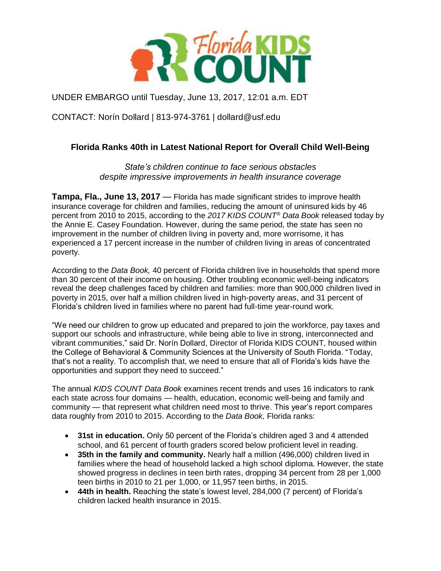

UNDER EMBARGO until Tuesday, June 13, 2017, 12:01 a.m. EDT

CONTACT: Norín Dollard | 813-974-3761 | dollard@usf.edu

## **Florida Ranks 40th in Latest National Report for Overall Child Well-Being**

*State's children continue to face serious obstacles despite impressive improvements in health insurance coverage*

**Tampa, Fla., June 13, 2017** — Florida has made significant strides to improve health insurance coverage for children and families, reducing the amount of uninsured kids by 46 percent from 2010 to 2015, according to the *2017 KIDS COUNT® Data Book* released today by the Annie E. Casey Foundation. However, during the same period, the state has seen no improvement in the number of children living in poverty and, more worrisome, it has experienced a 17 percent increase in the number of children living in areas of concentrated poverty.

According to the *Data Book,* 40 percent of Florida children live in households that spend more than 30 percent of their income on housing. Other troubling economic well-being indicators reveal the deep challenges faced by children and families: more than 900,000 children lived in poverty in 2015, over half a million children lived in high-poverty areas, and 31 percent of Florida's children lived in families where no parent had full-time year-round work.

"We need our children to grow up educated and prepared to join the workforce, pay taxes and support our schools and infrastructure, while being able to live in strong, interconnected and vibrant communities," said Dr. Norín Dollard, Director of Florida KIDS COUNT, housed within the College of Behavioral & Community Sciences at the University of South Florida. "Today, that's not a reality. To accomplish that, we need to ensure that all of Florida's kids have the opportunities and support they need to succeed."

The annual *KIDS COUNT Data Book* examines recent trends and uses 16 indicators to rank each state across four domains — health, education, economic well-being and family and community — that represent what children need most to thrive. This year's report compares data roughly from 2010 to 2015. According to the *Data Book,* Florida ranks:

- **31st in education.** Only 50 percent of the Florida's children aged 3 and 4 attended school, and 61 percent of fourth graders scored below proficient level in reading.
- **35th in the family and community.** Nearly half a million (496,000) children lived in families where the head of household lacked a high school diploma. However, the state showed progress in declines in teen birth rates, dropping 34 percent from 28 per 1,000 teen births in 2010 to 21 per 1,000, or 11,957 teen births, in 2015.
- **44th in health.** Reaching the state's lowest level, 284,000 (7 percent) of Florida's children lacked health insurance in 2015.